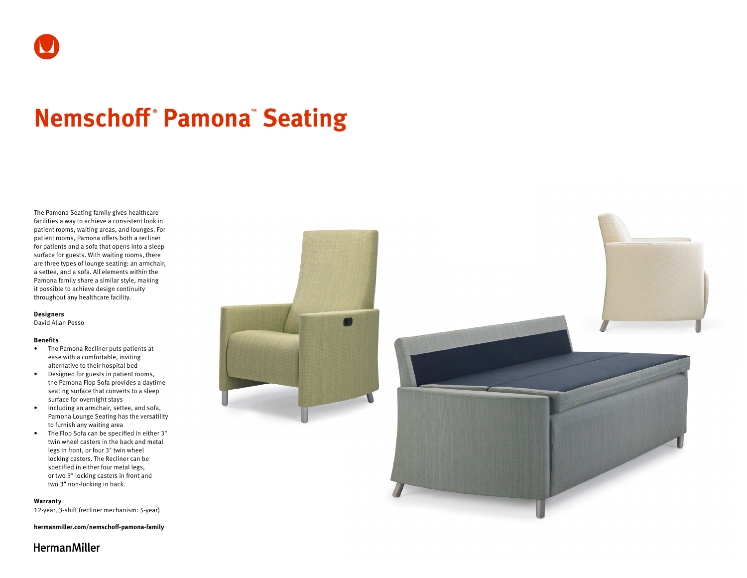# **Nemschoff ® Pamona™ Seating**

The Pamona Seating family gives healthcare facilities a way to achieve a consistent look in patient rooms, waiting areas, and lounges. For patient rooms, Pamona offers both a recliner for patients and a sofa that opens into a sleep surface for guests. With waiting rooms, there are three types of lounge seating: an armchair, a settee, and a sofa. All elements within the Pamona family share a similar style, making it possible to achieve design continuity throughout any healthcare facility.

#### **Designers**

David Allan Pesso

#### **Benefits**

- The Pamona Recliner puts patients at ease with a comfortable, inviting alternative to their hospital bed
- Designed for guests in patient rooms, the Pamona Flop Sofa provides a daytime seating surface that converts to a sleep surface for overnight stays
- Including an armchair, settee, and sofa, Pamona Lounge Seating has the versatility to furnish any waiting area
- The Flop Sofa can be specified in either 3" twin wheel casters in the back and metal legs in front, or four 3" twin wheel locking casters. The Recliner can be specified in either four metal legs, or two 3" locking casters in front and two 3" non-locking in back.

#### **Warranty**

12-year, 3-shift (recliner mechanism: 5-year)

**[hermanmiller.com/nemschoff-pamona-family](http://hermanmiller.com/nemschoff-pamona-family)**



# **HermanMiller**